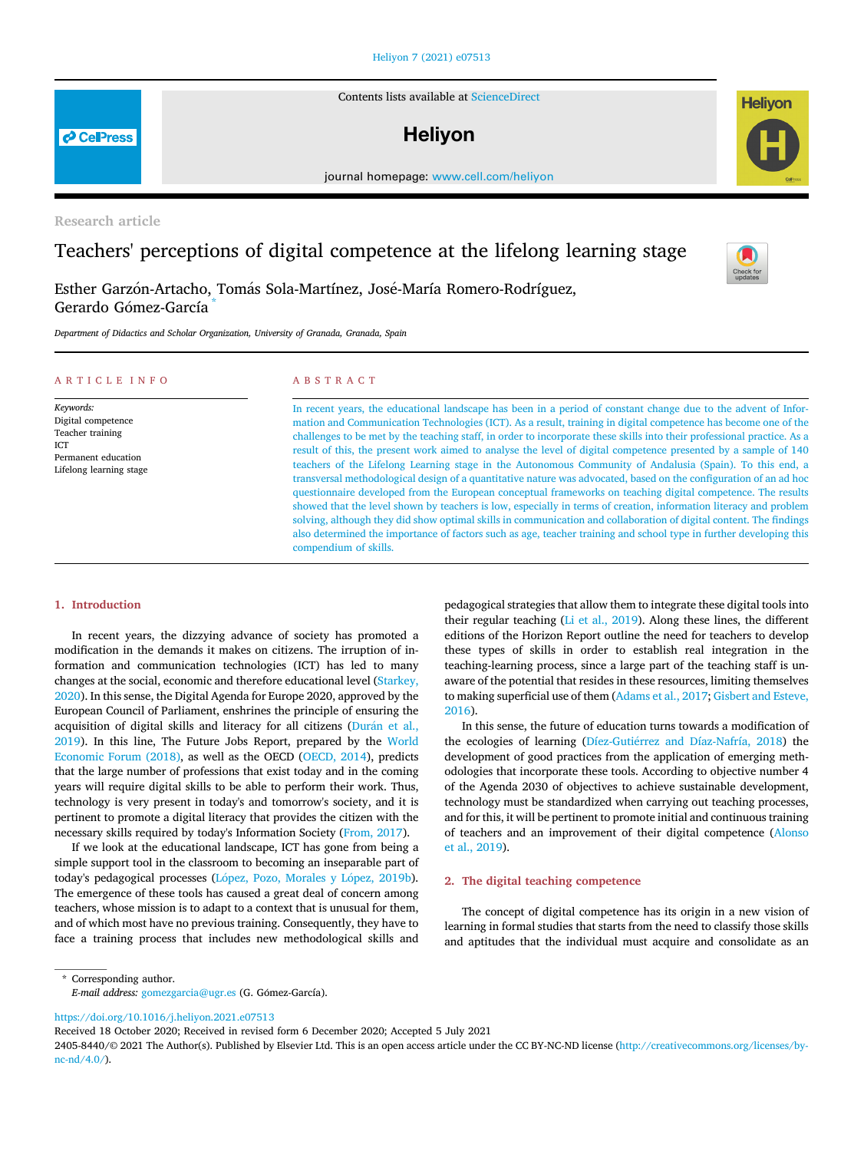# [Heliyon 7 \(2021\) e07513](https://doi.org/10.1016/j.heliyon.2021.e07513)

Contents lists available at [ScienceDirect](www.sciencedirect.com/science/journal/24058440)

# **Helivon**

journal home page: www.cell.com/helixon/helixon/helixon/helixon/helixon/helixon/helixon/helixon/helixon/helixon/helixon/helixon/helixon/helixon/helixon/helixon/helixon/helixon/helixon/helixon/helixon/helixon/helixon/helix

Research article

# Teachers' perceptions of digital competence at the lifelong learning stage

Esther Garzón-Artacho, Tomás Sola-Martínez, José-María Romero-Rodríguez, Gerardo Gómez-García

Department of Didactics and Scholar Organization, University of Granada, Granada, Spain

| <b>ARTICLE INFO</b>                                                                                          | ABSTRACT                                                                                                                                                                                                                                                                                                                                                                                                                                                                                                                                                                                                                                                                                                                                                                                                                                                                                                                                                                                                                                                                                                                                                                                                                |  |  |
|--------------------------------------------------------------------------------------------------------------|-------------------------------------------------------------------------------------------------------------------------------------------------------------------------------------------------------------------------------------------------------------------------------------------------------------------------------------------------------------------------------------------------------------------------------------------------------------------------------------------------------------------------------------------------------------------------------------------------------------------------------------------------------------------------------------------------------------------------------------------------------------------------------------------------------------------------------------------------------------------------------------------------------------------------------------------------------------------------------------------------------------------------------------------------------------------------------------------------------------------------------------------------------------------------------------------------------------------------|--|--|
| Keywords:<br>Digital competence<br>Teacher training<br>ICT<br>Permanent education<br>Lifelong learning stage | In recent years, the educational landscape has been in a period of constant change due to the advent of Infor-<br>mation and Communication Technologies (ICT). As a result, training in digital competence has become one of the<br>challenges to be met by the teaching staff, in order to incorporate these skills into their professional practice. As a<br>result of this, the present work aimed to analyse the level of digital competence presented by a sample of 140<br>teachers of the Lifelong Learning stage in the Autonomous Community of Andalusia (Spain). To this end, a<br>transversal methodological design of a quantitative nature was advocated, based on the configuration of an ad hoc<br>questionnaire developed from the European conceptual frameworks on teaching digital competence. The results<br>showed that the level shown by teachers is low, especially in terms of creation, information literacy and problem<br>solving, although they did show optimal skills in communication and collaboration of digital content. The findings<br>also determined the importance of factors such as age, teacher training and school type in further developing this<br>compendium of skills. |  |  |

#### 1. Introduction

In recent years, the dizzying advance of society has promoted a modification in the demands it makes on citizens. The irruption of information and communication technologies (ICT) has led to many changes at the social, economic and therefore educational level [\(Starkey,](#page-7-0) [2020\)](#page-7-0). In this sense, the Digital Agenda for Europe 2020, approved by the European Council of Parliament, enshrines the principle of ensuring the acquisition of digital skills and literacy for all citizens ([Dur](#page-6-0)á[n et al.,](#page-6-0) [2019\)](#page-6-0). In this line, The Future Jobs Report, prepared by the [World](#page-7-1) [Economic Forum \(2018\)](#page-7-1), as well as the OECD ([OECD, 2014\)](#page-7-2), predicts that the large number of professions that exist today and in the coming years will require digital skills to be able to perform their work. Thus, technology is very present in today's and tomorrow's society, and it is pertinent to promote a digital literacy that provides the citizen with the necessary skills required by today's Information Society ([From, 2017\)](#page-6-1).

If we look at the educational landscape, ICT has gone from being a simple support tool in the classroom to becoming an inseparable part of today's pedagogical processes (López, Pozo, Morales y Ló[pez, 2019b](#page-7-3)). The emergence of these tools has caused a great deal of concern among teachers, whose mission is to adapt to a context that is unusual for them, and of which most have no previous training. Consequently, they have to face a training process that includes new methodological skills and

pedagogical strategies that allow them to integrate these digital tools into their regular teaching ([Li et al., 2019\)](#page-7-4). Along these lines, the different editions of the Horizon Report outline the need for teachers to develop these types of skills in order to establish real integration in the teaching-learning process, since a large part of the teaching staff is unaware of the potential that resides in these resources, limiting themselves to making superficial use of them ([Adams et al., 2017](#page-6-2); [Gisbert and Esteve,](#page-6-3) [2016\)](#page-6-3).

In this sense, the future of education turns towards a modification of the ecologies of learning [\(Díez-Guti](#page-6-4)érrez and Díaz-Nafría, 2018) the development of good practices from the application of emerging methodologies that incorporate these tools. According to objective number 4 of the Agenda 2030 of objectives to achieve sustainable development, technology must be standardized when carrying out teaching processes, and for this, it will be pertinent to promote initial and continuous training of teachers and an improvement of their digital competence ([Alonso](#page-6-5) [et al., 2019](#page-6-5)).

# 2. The digital teaching competence

The concept of digital competence has its origin in a new vision of learning in formal studies that starts from the need to classify those skills and aptitudes that the individual must acquire and consolidate as an

<span id="page-0-0"></span>\* Corresponding author. E-mail address: [gomezgarcia@ugr.es](mailto:gomezgarcia@ugr.es) (G. Gómez-García).

<https://doi.org/10.1016/j.heliyon.2021.e07513>

Received 18 October 2020; Received in revised form 6 December 2020; Accepted 5 July 2021





<sup>2405-8440/</sup>© 2021 The Author(s). Published by Elsevier Ltd. This is an open access article under the CC BY-NC-ND license [\(http://creativecommons.org/licenses/by](http://creativecommons.org/licenses/by-nc-nd/4.0/) $nc-nd/4.0/$ ).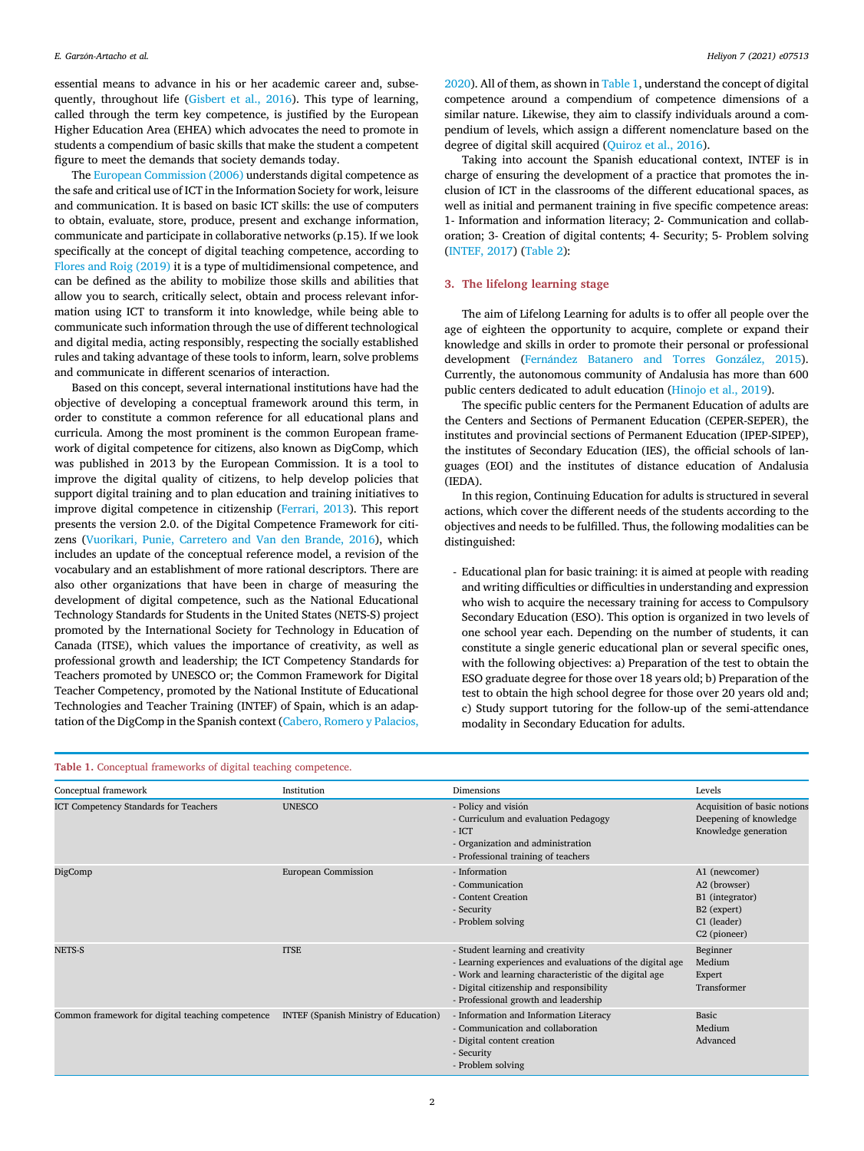essential means to advance in his or her academic career and, subsequently, throughout life [\(Gisbert et al., 2016](#page-6-6)). This type of learning, called through the term key competence, is justified by the European Higher Education Area (EHEA) which advocates the need to promote in students a compendium of basic skills that make the student a competent figure to meet the demands that society demands today.

The [European Commission \(2006\)](#page-6-7) understands digital competence as the safe and critical use of ICT in the Information Society for work, leisure and communication. It is based on basic ICT skills: the use of computers to obtain, evaluate, store, produce, present and exchange information, communicate and participate in collaborative networks (p.15). If we look specifically at the concept of digital teaching competence, according to [Flores and Roig \(2019\)](#page-6-8) it is a type of multidimensional competence, and can be defined as the ability to mobilize those skills and abilities that allow you to search, critically select, obtain and process relevant information using ICT to transform it into knowledge, while being able to communicate such information through the use of different technological and digital media, acting responsibly, respecting the socially established rules and taking advantage of these tools to inform, learn, solve problems and communicate in different scenarios of interaction.

Based on this concept, several international institutions have had the objective of developing a conceptual framework around this term, in order to constitute a common reference for all educational plans and curricula. Among the most prominent is the common European framework of digital competence for citizens, also known as DigComp, which was published in 2013 by the European Commission. It is a tool to improve the digital quality of citizens, to help develop policies that support digital training and to plan education and training initiatives to improve digital competence in citizenship ([Ferrari, 2013\)](#page-6-9). This report presents the version 2.0. of the Digital Competence Framework for citizens [\(Vuorikari, Punie, Carretero and Van den Brande, 2016\)](#page-7-5), which includes an update of the conceptual reference model, a revision of the vocabulary and an establishment of more rational descriptors. There are also other organizations that have been in charge of measuring the development of digital competence, such as the National Educational Technology Standards for Students in the United States (NETS-S) project promoted by the International Society for Technology in Education of Canada (ITSE), which values the importance of creativity, as well as professional growth and leadership; the ICT Competency Standards for Teachers promoted by UNESCO or; the Common Framework for Digital Teacher Competency, promoted by the National Institute of Educational Technologies and Teacher Training (INTEF) of Spain, which is an adaptation of the DigComp in the Spanish context [\(Cabero, Romero y Palacios,](#page-6-10)

[2020\)](#page-6-10). All of them, as shown in [Table 1,](#page-1-0) understand the concept of digital competence around a compendium of competence dimensions of a similar nature. Likewise, they aim to classify individuals around a compendium of levels, which assign a different nomenclature based on the degree of digital skill acquired ([Quiroz et al., 2016\)](#page-7-6).

Taking into account the Spanish educational context, INTEF is in charge of ensuring the development of a practice that promotes the inclusion of ICT in the classrooms of the different educational spaces, as well as initial and permanent training in five specific competence areas: 1- Information and information literacy; 2- Communication and collaboration; 3- Creation of digital contents; 4- Security; 5- Problem solving ([INTEF, 2017\)](#page-6-11) [\(Table 2](#page-2-0)):

# 3. The lifelong learning stage

The aim of Lifelong Learning for adults is to offer all people over the age of eighteen the opportunity to acquire, complete or expand their knowledge and skills in order to promote their personal or professional development [\(Fern](#page-6-12)á[ndez Batanero and Torres Gonz](#page-6-12)ález, 2015). Currently, the autonomous community of Andalusia has more than 600 public centers dedicated to adult education [\(Hinojo et al., 2019](#page-6-13)).

The specific public centers for the Permanent Education of adults are the Centers and Sections of Permanent Education (CEPER-SEPER), the institutes and provincial sections of Permanent Education (IPEP-SIPEP), the institutes of Secondary Education (IES), the official schools of languages (EOI) and the institutes of distance education of Andalusia (IEDA).

In this region, Continuing Education for adults is structured in several actions, which cover the different needs of the students according to the objectives and needs to be fulfilled. Thus, the following modalities can be distinguished:

- Educational plan for basic training: it is aimed at people with reading and writing difficulties or difficulties in understanding and expression who wish to acquire the necessary training for access to Compulsory Secondary Education (ESO). This option is organized in two levels of one school year each. Depending on the number of students, it can constitute a single generic educational plan or several specific ones, with the following objectives: a) Preparation of the test to obtain the ESO graduate degree for those over 18 years old; b) Preparation of the test to obtain the high school degree for those over 20 years old and; c) Study support tutoring for the follow-up of the semi-attendance modality in Secondary Education for adults.

| Conceptual framework                             | Institution                           | <b>Dimensions</b>                                                                                                                                                                                                                           | Levels                                                                                                     |
|--------------------------------------------------|---------------------------------------|---------------------------------------------------------------------------------------------------------------------------------------------------------------------------------------------------------------------------------------------|------------------------------------------------------------------------------------------------------------|
| ICT Competency Standards for Teachers            | <b>UNESCO</b>                         | - Policy and visión<br>- Curriculum and evaluation Pedagogy<br>$-$ ICT<br>- Organization and administration<br>- Professional training of teachers                                                                                          | Acquisition of basic notions<br>Deepening of knowledge<br>Knowledge generation                             |
| DigComp                                          | European Commission                   | - Information<br>- Communication<br>- Content Creation<br>- Security<br>- Problem solving                                                                                                                                                   | A1 (newcomer)<br>A2 (browser)<br>B1 (integrator)<br>B2 (expert)<br>C1 (leader)<br>C <sub>2</sub> (pioneer) |
| NETS-S                                           | <b>ITSE</b>                           | - Student learning and creativity<br>- Learning experiences and evaluations of the digital age<br>- Work and learning characteristic of the digital age<br>- Digital citizenship and responsibility<br>- Professional growth and leadership | Beginner<br>Medium<br>Expert<br>Transformer                                                                |
| Common framework for digital teaching competence | INTEF (Spanish Ministry of Education) | - Information and Information Literacy<br>- Communication and collaboration<br>- Digital content creation<br>- Security<br>- Problem solving                                                                                                | Basic<br>Medium<br>Advanced                                                                                |

# <span id="page-1-0"></span>Table 1. Conceptual frameworks of digital teaching competence.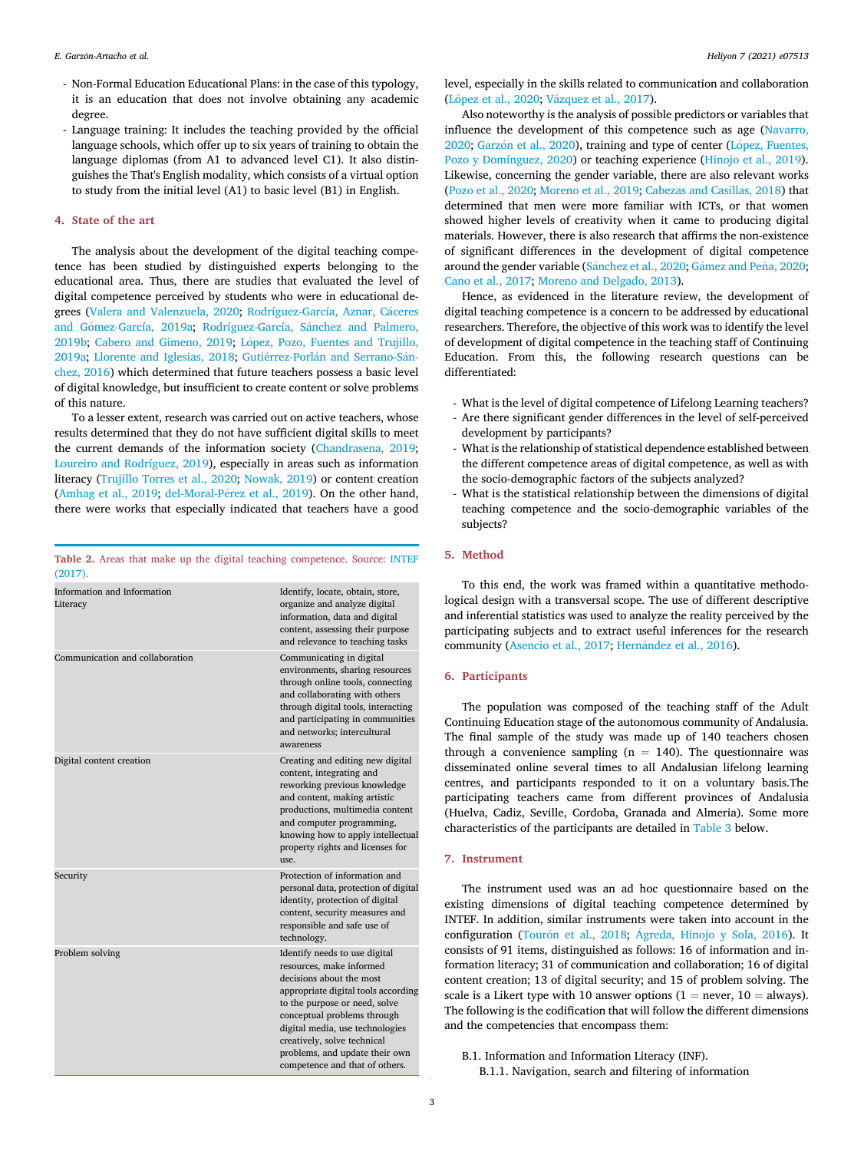#### E. Garzon-Artacho et al. Heliyon 7 (2021) e07513

- Non-Formal Education Educational Plans: in the case of this typology, it is an education that does not involve obtaining any academic degree.
- Language training: It includes the teaching provided by the official language schools, which offer up to six years of training to obtain the language diplomas (from A1 to advanced level C1). It also distinguishes the That's English modality, which consists of a virtual option to study from the initial level (A1) to basic level (B1) in English.

#### 4. State of the art

The analysis about the development of the digital teaching competence has been studied by distinguished experts belonging to the educational area. Thus, there are studies that evaluated the level of digital competence perceived by students who were in educational de-grees ([Valera and Valenzuela, 2020](#page-7-7); [Rodríguez-García, Aznar, C](#page-7-8)áceres and Gómez-García, 2019a; [Rodríguez-García, S](#page-7-9)ánchez and Palmero, [2019b;](#page-7-9) [Cabero and Gimeno, 2019](#page-6-14); López, Pozo, Fuentes and Trujillo, [2019a](#page-7-10); [Llorente and Iglesias, 2018;](#page-7-11) [Guti](#page-6-15)érrez-Porlán and Serrano-Sá[n](#page-6-15)[chez, 2016\)](#page-6-15) which determined that future teachers possess a basic level of digital knowledge, but insufficient to create content or solve problems of this nature.

To a lesser extent, research was carried out on active teachers, whose results determined that they do not have sufficient digital skills to meet the current demands of the information society ([Chandrasena, 2019;](#page-6-16) [Loureiro and Rodríguez, 2019\)](#page-7-12), especially in areas such as information literacy [\(Trujillo Torres et al., 2020;](#page-7-13) [Nowak, 2019\)](#page-7-14) or content creation ([Amhag et al., 2019;](#page-6-17) [del-Moral-P](#page-6-18)é[rez et al., 2019\)](#page-6-18). On the other hand, there were works that especially indicated that teachers have a good

<span id="page-2-0"></span>Table 2. Areas that make up the digital teaching competence. Source: [INTEF](#page-6-11) [\(2017\)](#page-6-11).

| Information and Information<br>Literacy | Identify, locate, obtain, store,<br>organize and analyze digital<br>information, data and digital<br>content, assessing their purpose<br>and relevance to teaching tasks                                                                                                                                                           |
|-----------------------------------------|------------------------------------------------------------------------------------------------------------------------------------------------------------------------------------------------------------------------------------------------------------------------------------------------------------------------------------|
| Communication and collaboration         | Communicating in digital<br>environments, sharing resources<br>through online tools, connecting<br>and collaborating with others<br>through digital tools, interacting<br>and participating in communities<br>and networks; intercultural<br>awareness                                                                             |
| Digital content creation                | Creating and editing new digital<br>content, integrating and<br>reworking previous knowledge<br>and content, making artistic<br>productions, multimedia content<br>and computer programming,<br>knowing how to apply intellectual<br>property rights and licenses for<br>use.                                                      |
| Security                                | Protection of information and<br>personal data, protection of digital<br>identity, protection of digital<br>content, security measures and<br>responsible and safe use of<br>technology.                                                                                                                                           |
| Problem solving                         | Identify needs to use digital<br>resources, make informed<br>decisions about the most<br>appropriate digital tools according<br>to the purpose or need, solve<br>conceptual problems through<br>digital media, use technologies<br>creatively, solve technical<br>problems, and update their own<br>competence and that of others. |

level, especially in the skills related to communication and collaboration (López et al., 2020; [V](#page-7-15)á[zquez et al., 2017\)](#page-7-15).

Also noteworthy is the analysis of possible predictors or variables that influence the development of this competence such as age [\(Navarro,](#page-7-16) [2020;](#page-7-16) [Garz](#page-6-20)ó[n et al., 2020](#page-6-20)), training and type of center (López, Fuentes, [Pozo y Domínguez, 2020\)](#page-6-19) or teaching experience ([Hinojo et al., 2019\)](#page-6-13). Likewise, concerning the gender variable, there are also relevant works ([Pozo et al., 2020;](#page-7-17) [Moreno et al., 2019;](#page-7-18) [Cabezas and Casillas, 2018\)](#page-6-21) that determined that men were more familiar with ICTs, or that women showed higher levels of creativity when it came to producing digital materials. However, there is also research that affirms the non-existence of significant differences in the development of digital competence around the gender variable [\(S](#page-7-19)á[nchez et al., 2020;](#page-7-19) [G](#page-6-22)ámez and Peñ[a, 2020](#page-6-22); [Cano et al., 2017;](#page-6-23) [Moreno and Delgado, 2013\)](#page-7-20).

Hence, as evidenced in the literature review, the development of digital teaching competence is a concern to be addressed by educational researchers. Therefore, the objective of this work was to identify the level of development of digital competence in the teaching staff of Continuing Education. From this, the following research questions can be differentiated:

- What is the level of digital competence of Lifelong Learning teachers?
- Are there significant gender differences in the level of self-perceived development by participants?
- What is the relationship of statistical dependence established between the different competence areas of digital competence, as well as with the socio-demographic factors of the subjects analyzed?
- What is the statistical relationship between the dimensions of digital teaching competence and the socio-demographic variables of the subjects?

# 5. Method

To this end, the work was framed within a quantitative methodological design with a transversal scope. The use of different descriptive and inferential statistics was used to analyze the reality perceived by the participating subjects and to extract useful inferences for the research community [\(Asencio et al., 2017;](#page-6-24) [Hern](#page-6-25)á[ndez et al., 2016](#page-6-25)).

# 6. Participants

The population was composed of the teaching staff of the Adult Continuing Education stage of the autonomous community of Andalusia. The final sample of the study was made up of 140 teachers chosen through a convenience sampling ( $n = 140$ ). The questionnaire was disseminated online several times to all Andalusian lifelong learning centres, and participants responded to it on a voluntary basis.The participating teachers came from different provinces of Andalusia (Huelva, Cadiz, Seville, Cordoba, Granada and Almeria). Some more characteristics of the participants are detailed in [Table 3](#page-3-0) below.

# 7. Instrument

The instrument used was an ad hoc questionnaire based on the existing dimensions of digital teaching competence determined by INTEF. In addition, similar instruments were taken into account in the configuration (Tourón et al., 2018; Á[greda, Hinojo y Sola, 2016](#page-6-26)). It consists of 91 items, distinguished as follows: 16 of information and information literacy; 31 of communication and collaboration; 16 of digital content creation; 13 of digital security; and 15 of problem solving. The scale is a Likert type with 10 answer options ( $1 =$  never,  $10 =$  always). The following is the codification that will follow the different dimensions and the competencies that encompass them:

B.1. Information and Information Literacy (INF). B.1.1. Navigation, search and filtering of information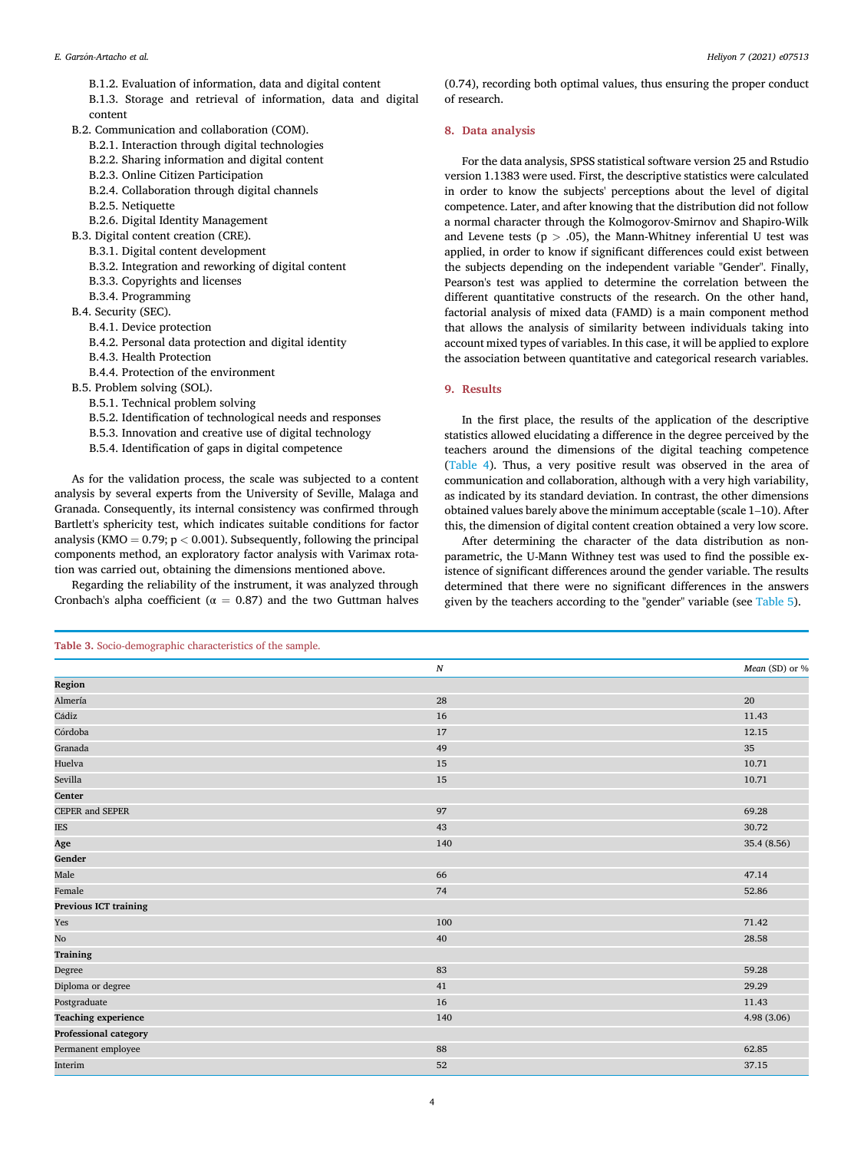B.1.2. Evaluation of information, data and digital content B.1.3. Storage and retrieval of information, data and digital content

- B.2. Communication and collaboration (COM).
	- B.2.1. Interaction through digital technologies
	- B.2.2. Sharing information and digital content
	- B.2.3. Online Citizen Participation
	- B.2.4. Collaboration through digital channels
	- B.2.5. Netiquette
	- B.2.6. Digital Identity Management
- B.3. Digital content creation (CRE).
	- B.3.1. Digital content development
	- B.3.2. Integration and reworking of digital content
	- B.3.3. Copyrights and licenses
	- B.3.4. Programming
- B.4. Security (SEC).
	- B.4.1. Device protection
	- B.4.2. Personal data protection and digital identity
	- B.4.3. Health Protection
	- B.4.4. Protection of the environment

<span id="page-3-0"></span>Table 3. Socio-demographic characteristics of the sample.

- B.5. Problem solving (SOL).
	- B.5.1. Technical problem solving
	- B.5.2. Identification of technological needs and responses
	- B.5.3. Innovation and creative use of digital technology
	- B.5.4. Identification of gaps in digital competence

As for the validation process, the scale was subjected to a content analysis by several experts from the University of Seville, Malaga and Granada. Consequently, its internal consistency was confirmed through Bartlett's sphericity test, which indicates suitable conditions for factor analysis (KMO  $= 0.79$ ;  $p < 0.001$ ). Subsequently, following the principal components method, an exploratory factor analysis with Varimax rotation was carried out, obtaining the dimensions mentioned above.

Regarding the reliability of the instrument, it was analyzed through Cronbach's alpha coefficient ( $\alpha = 0.87$ ) and the two Guttman halves

(0.74), recording both optimal values, thus ensuring the proper conduct of research.

## 8. Data analysis

For the data analysis, SPSS statistical software version 25 and Rstudio version 1.1383 were used. First, the descriptive statistics were calculated in order to know the subjects' perceptions about the level of digital competence. Later, and after knowing that the distribution did not follow a normal character through the Kolmogorov-Smirnov and Shapiro-Wilk and Levene tests ( $p > .05$ ), the Mann-Whitney inferential U test was applied, in order to know if significant differences could exist between the subjects depending on the independent variable "Gender". Finally, Pearson's test was applied to determine the correlation between the different quantitative constructs of the research. On the other hand, factorial analysis of mixed data (FAMD) is a main component method that allows the analysis of similarity between individuals taking into account mixed types of variables. In this case, it will be applied to explore the association between quantitative and categorical research variables.

# 9. Results

In the first place, the results of the application of the descriptive statistics allowed elucidating a difference in the degree perceived by the teachers around the dimensions of the digital teaching competence ([Table 4](#page-4-0)). Thus, a very positive result was observed in the area of communication and collaboration, although with a very high variability, as indicated by its standard deviation. In contrast, the other dimensions obtained values barely above the minimum acceptable (scale 1–10). After this, the dimension of digital content creation obtained a very low score.

After determining the character of the data distribution as nonparametric, the U-Mann Withney test was used to find the possible existence of significant differences around the gender variable. The results determined that there were no significant differences in the answers given by the teachers according to the "gender" variable (see [Table 5](#page-4-1)).

|                            | $\boldsymbol{N}$ | Mean (SD) or % |
|----------------------------|------------------|----------------|
| Region                     |                  |                |
| Almería                    | 28               | 20             |
| Cádiz                      | 16               | 11.43          |
| Córdoba                    | 17               | 12.15          |
| Granada                    | 49               | 35             |
| Huelva                     | 15               | 10.71          |
| Sevilla                    | 15               | 10.71          |
| Center                     |                  |                |
| <b>CEPER and SEPER</b>     | 97               | 69.28          |
| IES                        | 43               | 30.72          |
| Age                        | 140              | 35.4 (8.56)    |
| Gender                     |                  |                |
| Male                       | 66               | 47.14          |
| Female                     | 74               | 52.86          |
| Previous ICT training      |                  |                |
| Yes                        | 100              | 71.42          |
| No                         | 40               | 28.58          |
| <b>Training</b>            |                  |                |
| Degree                     | 83               | 59.28          |
| Diploma or degree          | 41               | 29.29          |
| Postgraduate               | 16               | 11.43          |
| <b>Teaching experience</b> | 140              | 4.98 (3.06)    |
| Professional category      |                  |                |
| Permanent employee         | 88               | 62.85          |
| Interim                    | 52               | 37.15          |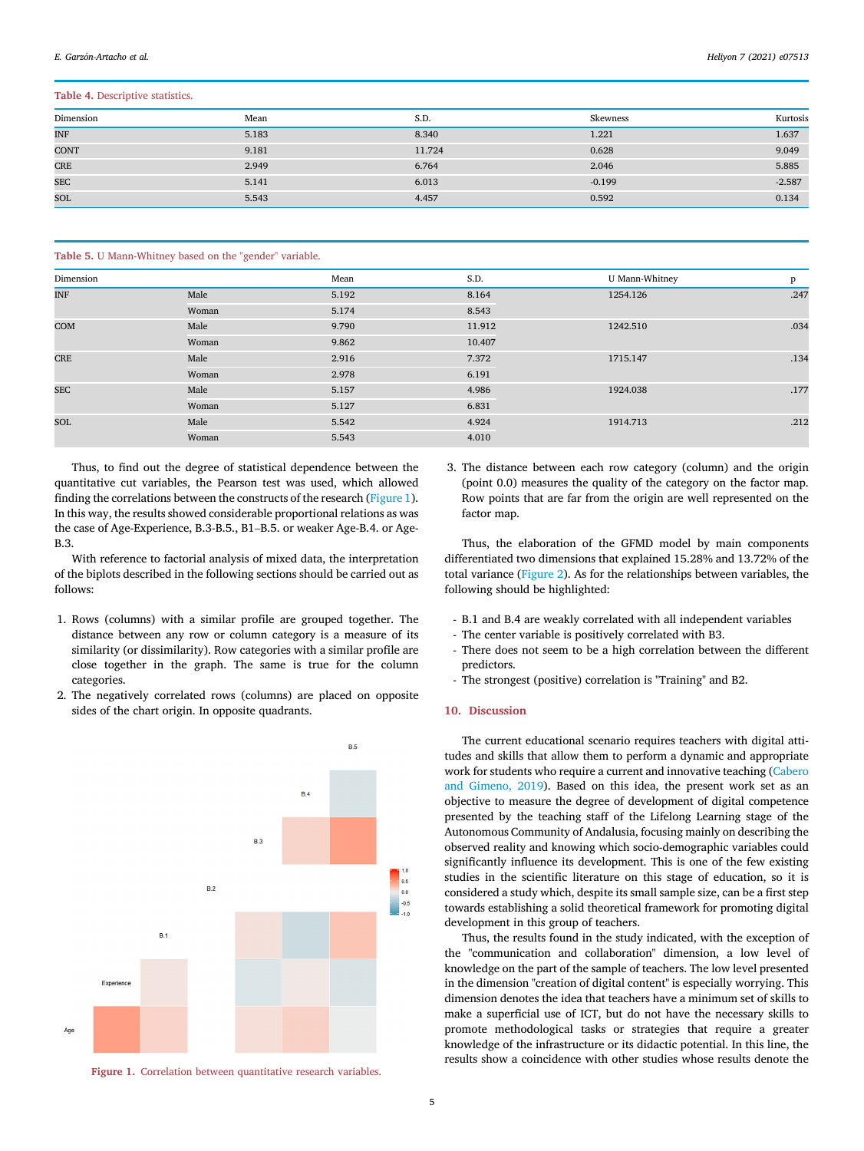### <span id="page-4-0"></span>Table 4. Descriptive statistics.

| Dimension  | Mean  | S.D.   | Skewness | Kurtosis |
|------------|-------|--------|----------|----------|
| <b>INF</b> | 5.183 | 8.340  | 1.221    | 1.637    |
| CONT       | 9.181 | 11.724 | 0.628    | 9.049    |
| <b>CRE</b> | 2.949 | 6.764  | 2.046    | 5.885    |
| <b>SEC</b> | 5.141 | 6.013  | $-0.199$ | $-2.587$ |
| SOL        | 5.543 | 4.457  | 0.592    | 0.134    |

#### <span id="page-4-1"></span>Table 5. U Mann-Whitney based on the "gender" variable.

| Dimension  |       | Mean  | S.D.   | U Mann-Whitney | p    |
|------------|-------|-------|--------|----------------|------|
| <b>INF</b> | Male  | 5.192 | 8.164  | 1254.126       | .247 |
|            | Woman | 5.174 | 8.543  |                |      |
| COM        | Male  | 9.790 | 11.912 | 1242.510       | .034 |
|            | Woman | 9.862 | 10.407 |                |      |
| <b>CRE</b> | Male  | 2.916 | 7.372  | 1715.147       | .134 |
|            | Woman | 2.978 | 6.191  |                |      |
| <b>SEC</b> | Male  | 5.157 | 4.986  | 1924.038       | .177 |
|            | Woman | 5.127 | 6.831  |                |      |
| SOL        | Male  | 5.542 | 4.924  | 1914.713       | .212 |
|            | Woman | 5.543 | 4.010  |                |      |
|            |       |       |        |                |      |

Thus, to find out the degree of statistical dependence between the quantitative cut variables, the Pearson test was used, which allowed finding the correlations between the constructs of the research [\(Figure 1\)](#page-4-2). In this way, the results showed considerable proportional relations as was the case of Age-Experience, B.3-B.5., B1–B.5. or weaker Age-B.4. or Age-B.3.

With reference to factorial analysis of mixed data, the interpretation of the biplots described in the following sections should be carried out as follows:

- 1. Rows (columns) with a similar profile are grouped together. The distance between any row or column category is a measure of its similarity (or dissimilarity). Row categories with a similar profile are close together in the graph. The same is true for the column categories.
- <span id="page-4-2"></span>2. The negatively correlated rows (columns) are placed on opposite sides of the chart origin. In opposite quadrants.



Figure 1. Correlation between quantitative research variables.

3. The distance between each row category (column) and the origin (point 0.0) measures the quality of the category on the factor map. Row points that are far from the origin are well represented on the factor map.

Thus, the elaboration of the GFMD model by main components differentiated two dimensions that explained 15.28% and 13.72% of the total variance ([Figure 2\)](#page-5-0). As for the relationships between variables, the following should be highlighted:

- B.1 and B.4 are weakly correlated with all independent variables
- The center variable is positively correlated with B3.
- There does not seem to be a high correlation between the different predictors.
- The strongest (positive) correlation is "Training" and B2.

# 10. Discussion

The current educational scenario requires teachers with digital attitudes and skills that allow them to perform a dynamic and appropriate work for students who require a current and innovative teaching [\(Cabero](#page-6-14) [and Gimeno, 2019\)](#page-6-14). Based on this idea, the present work set as an objective to measure the degree of development of digital competence presented by the teaching staff of the Lifelong Learning stage of the Autonomous Community of Andalusia, focusing mainly on describing the observed reality and knowing which socio-demographic variables could significantly influence its development. This is one of the few existing studies in the scientific literature on this stage of education, so it is considered a study which, despite its small sample size, can be a first step towards establishing a solid theoretical framework for promoting digital development in this group of teachers.

Thus, the results found in the study indicated, with the exception of the "communication and collaboration" dimension, a low level of knowledge on the part of the sample of teachers. The low level presented in the dimension "creation of digital content" is especially worrying. This dimension denotes the idea that teachers have a minimum set of skills to make a superficial use of ICT, but do not have the necessary skills to promote methodological tasks or strategies that require a greater knowledge of the infrastructure or its didactic potential. In this line, the results show a coincidence with other studies whose results denote the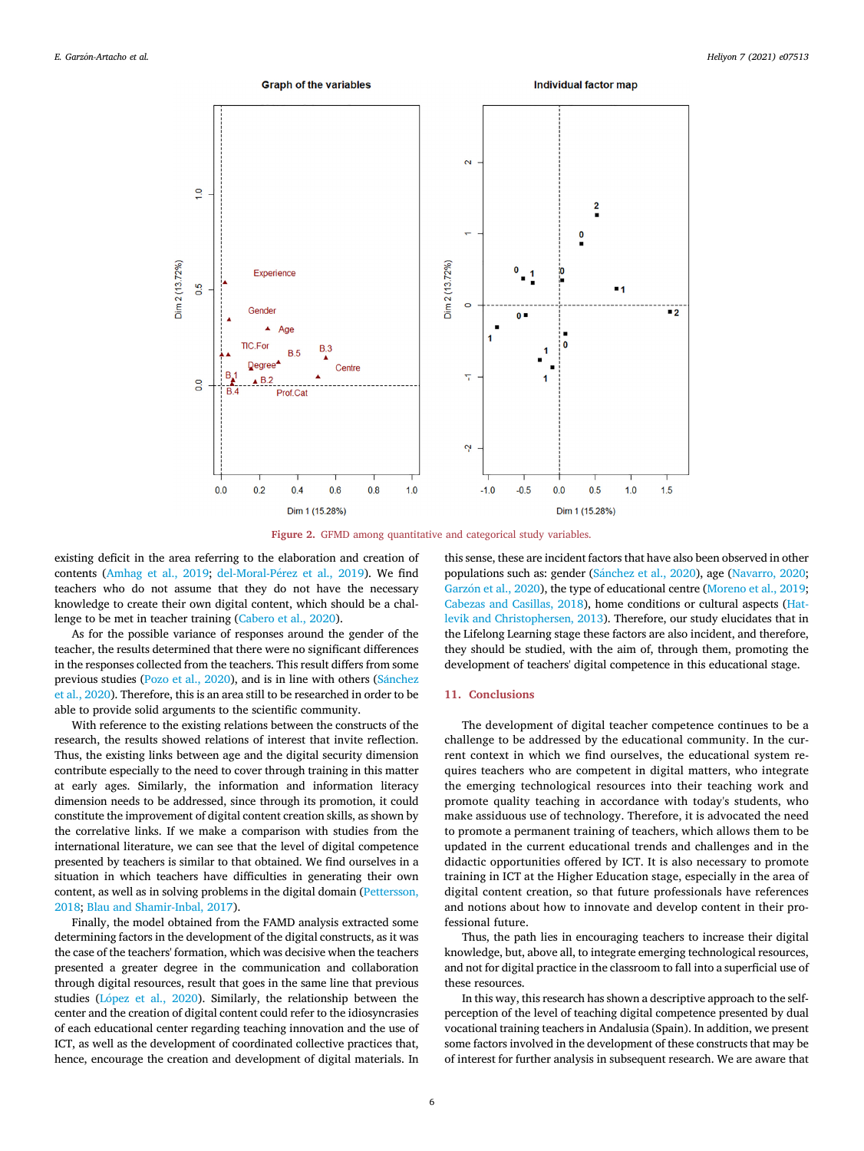<span id="page-5-0"></span>

Figure 2. GFMD among quantitative and categorical study variables.

existing deficit in the area referring to the elaboration and creation of contents [\(Amhag et al., 2019](#page-6-17); [del-Moral-P](#page-6-18)é[rez et al., 2019](#page-6-18)). We find teachers who do not assume that they do not have the necessary knowledge to create their own digital content, which should be a challenge to be met in teacher training ([Cabero et al., 2020](#page-6-10)).

As for the possible variance of responses around the gender of the teacher, the results determined that there were no significant differences in the responses collected from the teachers. This result differs from some previous studies ([Pozo et al., 2020\)](#page-7-17), and is in line with others [\(S](#page-7-19)ánchez [et al., 2020](#page-7-19)). Therefore, this is an area still to be researched in order to be able to provide solid arguments to the scientific community.

With reference to the existing relations between the constructs of the research, the results showed relations of interest that invite reflection. Thus, the existing links between age and the digital security dimension contribute especially to the need to cover through training in this matter at early ages. Similarly, the information and information literacy dimension needs to be addressed, since through its promotion, it could constitute the improvement of digital content creation skills, as shown by the correlative links. If we make a comparison with studies from the international literature, we can see that the level of digital competence presented by teachers is similar to that obtained. We find ourselves in a situation in which teachers have difficulties in generating their own content, as well as in solving problems in the digital domain ([Pettersson,](#page-7-22) [2018;](#page-7-22) [Blau and Shamir-Inbal, 2017\)](#page-6-27).

Finally, the model obtained from the FAMD analysis extracted some determining factors in the development of the digital constructs, as it was the case of the teachers' formation, which was decisive when the teachers presented a greater degree in the communication and collaboration through digital resources, result that goes in the same line that previous studies (López et al., 2020). Similarly, the relationship between the center and the creation of digital content could refer to the idiosyncrasies of each educational center regarding teaching innovation and the use of ICT, as well as the development of coordinated collective practices that, hence, encourage the creation and development of digital materials. In

this sense, these are incident factors that have also been observed in other populations such as: gender [\(S](#page-7-19)ánchez et al., 2020), age ([Navarro, 2020;](#page-7-16) Garzón et al., 2020), the type of educational centre ([Moreno et al., 2019;](#page-7-18) [Cabezas and Casillas, 2018](#page-6-21)), home conditions or cultural aspects ([Hat](#page-6-28)[levik and Christophersen, 2013](#page-6-28)). Therefore, our study elucidates that in the Lifelong Learning stage these factors are also incident, and therefore, they should be studied, with the aim of, through them, promoting the development of teachers' digital competence in this educational stage.

# 11. Conclusions

The development of digital teacher competence continues to be a challenge to be addressed by the educational community. In the current context in which we find ourselves, the educational system requires teachers who are competent in digital matters, who integrate the emerging technological resources into their teaching work and promote quality teaching in accordance with today's students, who make assiduous use of technology. Therefore, it is advocated the need to promote a permanent training of teachers, which allows them to be updated in the current educational trends and challenges and in the didactic opportunities offered by ICT. It is also necessary to promote training in ICT at the Higher Education stage, especially in the area of digital content creation, so that future professionals have references and notions about how to innovate and develop content in their professional future.

Thus, the path lies in encouraging teachers to increase their digital knowledge, but, above all, to integrate emerging technological resources, and not for digital practice in the classroom to fall into a superficial use of these resources.

In this way, this research has shown a descriptive approach to the selfperception of the level of teaching digital competence presented by dual vocational training teachers in Andalusia (Spain). In addition, we present some factors involved in the development of these constructs that may be of interest for further analysis in subsequent research. We are aware that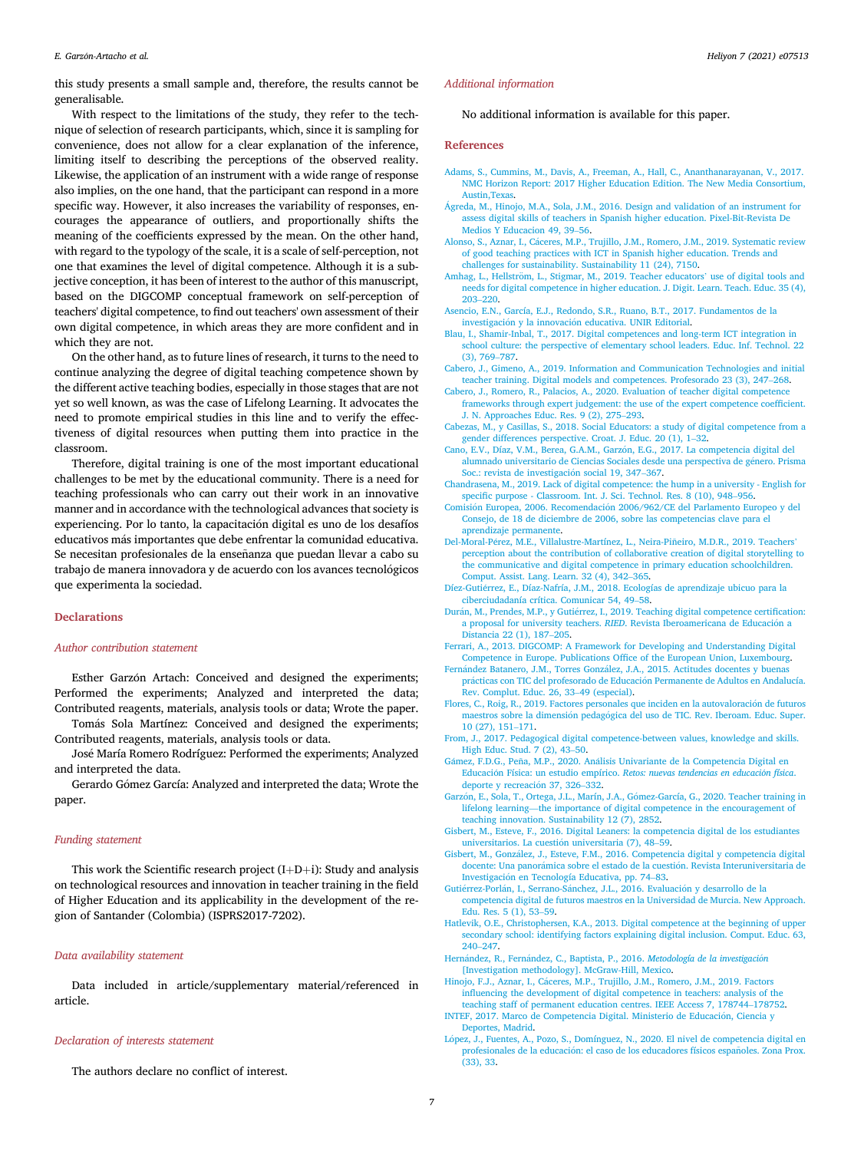this study presents a small sample and, therefore, the results cannot be generalisable.

With respect to the limitations of the study, they refer to the technique of selection of research participants, which, since it is sampling for convenience, does not allow for a clear explanation of the inference, limiting itself to describing the perceptions of the observed reality. Likewise, the application of an instrument with a wide range of response also implies, on the one hand, that the participant can respond in a more specific way. However, it also increases the variability of responses, encourages the appearance of outliers, and proportionally shifts the meaning of the coefficients expressed by the mean. On the other hand, with regard to the typology of the scale, it is a scale of self-perception, not one that examines the level of digital competence. Although it is a subjective conception, it has been of interest to the author of this manuscript, based on the DIGCOMP conceptual framework on self-perception of teachers' digital competence, to find out teachers' own assessment of their own digital competence, in which areas they are more confident and in which they are not.

On the other hand, as to future lines of research, it turns to the need to continue analyzing the degree of digital teaching competence shown by the different active teaching bodies, especially in those stages that are not yet so well known, as was the case of Lifelong Learning. It advocates the need to promote empirical studies in this line and to verify the effectiveness of digital resources when putting them into practice in the classroom.

Therefore, digital training is one of the most important educational challenges to be met by the educational community. There is a need for teaching professionals who can carry out their work in an innovative manner and in accordance with the technological advances that society is experiencing. Por lo tanto, la capacitacion digital es uno de los desafíos educativos más importantes que debe enfrentar la comunidad educativa. Se necesitan profesionales de la enseñanza que puedan llevar a cabo su trabajo de manera innovadora y de acuerdo con los avances tecnológicos que experimenta la sociedad.

# **Declarations**

### Author contribution statement

Esther Garzón Artach: Conceived and designed the experiments; Performed the experiments; Analyzed and interpreted the data; Contributed reagents, materials, analysis tools or data; Wrote the paper.

Tomás Sola Martínez: Conceived and designed the experiments; Contributed reagents, materials, analysis tools or data.

Jose María Romero Rodríguez: Performed the experiments; Analyzed and interpreted the data.

Gerardo Gomez García: Analyzed and interpreted the data; Wrote the paper.

# Funding statement

This work the Scientific research project  $(I+D+i)$ : Study and analysis on technological resources and innovation in teacher training in the field of Higher Education and its applicability in the development of the region of Santander (Colombia) (ISPRS2017-7202).

# Data availability statement

Data included in article/supplementary material/referenced in article.

#### Declaration of interests statement

The authors declare no conflict of interest.

#### Additional information

No additional information is available for this paper.

#### References

- <span id="page-6-2"></span>[Adams, S., Cummins, M., Davis, A., Freeman, A., Hall, C., Ananthanarayanan, V., 2017.](http://refhub.elsevier.com/S2405-8440(21)01616-9/sref1) [NMC Horizon Report: 2017 Higher Education Edition. The New Media Consortium,](http://refhub.elsevier.com/S2405-8440(21)01616-9/sref1) [Austin,Texas](http://refhub.elsevier.com/S2405-8440(21)01616-9/sref1).
- <span id="page-6-26"></span>A[greda, M., Hinojo, M.A., Sola, J.M., 2016. Design and validation of an instrument for](http://refhub.elsevier.com/S2405-8440(21)01616-9/sref2) [assess digital skills of teachers in Spanish higher education. Pixel-Bit-Revista De](http://refhub.elsevier.com/S2405-8440(21)01616-9/sref2) [Medios Y Educacion 49, 39](http://refhub.elsevier.com/S2405-8440(21)01616-9/sref2)–[56.](http://refhub.elsevier.com/S2405-8440(21)01616-9/sref2)
- <span id="page-6-5"></span>[Alonso, S., Aznar, I., C](http://refhub.elsevier.com/S2405-8440(21)01616-9/sref3)[aceres, M.P., Trujillo, J.M., Romero, J.M., 2019. Systematic review](http://refhub.elsevier.com/S2405-8440(21)01616-9/sref3) [of good teaching practices with ICT in Spanish higher education. Trends and](http://refhub.elsevier.com/S2405-8440(21)01616-9/sref3) [challenges for sustainability. Sustainability 11 \(24\), 7150.](http://refhub.elsevier.com/S2405-8440(21)01616-9/sref3)
- <span id="page-6-17"></span>Amhag, L., Hellström, L., Stigmar, M., 2019. Teacher educators' use of digital tools and [needs for digital competence in higher education. J. Digit. Learn. Teach. Educ. 35 \(4\),](http://refhub.elsevier.com/S2405-8440(21)01616-9/sref4) [203](http://refhub.elsevier.com/S2405-8440(21)01616-9/sref4)–[220](http://refhub.elsevier.com/S2405-8440(21)01616-9/sref4).
- <span id="page-6-24"></span>[Asencio, E.N., García, E.J., Redondo, S.R., Ruano, B.T., 2017. Fundamentos de la](http://refhub.elsevier.com/S2405-8440(21)01616-9/sref5) [investigaci](http://refhub.elsevier.com/S2405-8440(21)01616-9/sref5)ó[n y la innovaci](http://refhub.elsevier.com/S2405-8440(21)01616-9/sref5)ó[n educativa. UNIR Editorial](http://refhub.elsevier.com/S2405-8440(21)01616-9/sref5).
- <span id="page-6-27"></span>[Blau, I., Shamir-Inbal, T., 2017. Digital competences and long-term ICT integration in](http://refhub.elsevier.com/S2405-8440(21)01616-9/sref6) [school culture: the perspective of elementary school leaders. Educ. Inf. Technol. 22](http://refhub.elsevier.com/S2405-8440(21)01616-9/sref6) [\(3\), 769](http://refhub.elsevier.com/S2405-8440(21)01616-9/sref6)–[787.](http://refhub.elsevier.com/S2405-8440(21)01616-9/sref6)
- <span id="page-6-14"></span>[Cabero, J., Gimeno, A., 2019. Information and Communication Technologies and initial](http://refhub.elsevier.com/S2405-8440(21)01616-9/sref7) [teacher training. Digital models and competences. Profesorado 23 \(3\), 247](http://refhub.elsevier.com/S2405-8440(21)01616-9/sref7)–[268](http://refhub.elsevier.com/S2405-8440(21)01616-9/sref7).
- <span id="page-6-10"></span>[Cabero, J., Romero, R., Palacios, A., 2020. Evaluation of teacher digital competence](http://refhub.elsevier.com/S2405-8440(21)01616-9/sref8) [frameworks through expert judgement: the use of the expert competence coef](http://refhub.elsevier.com/S2405-8440(21)01616-9/sref8)ficient. [J. N. Approaches Educ. Res. 9 \(2\), 275](http://refhub.elsevier.com/S2405-8440(21)01616-9/sref8)–[293.](http://refhub.elsevier.com/S2405-8440(21)01616-9/sref8)
- <span id="page-6-21"></span>[Cabezas, M., y Casillas, S., 2018. Social Educators: a study of digital competence from a](http://refhub.elsevier.com/S2405-8440(21)01616-9/sref9) [gender differences perspective. Croat. J. Educ. 20 \(1\), 1](http://refhub.elsevier.com/S2405-8440(21)01616-9/sref9)–[32](http://refhub.elsevier.com/S2405-8440(21)01616-9/sref9).
- <span id="page-6-23"></span>[Cano, E.V., Díaz, V.M., Berea, G.A.M., Garzon, E.G., 2017. La competencia digital del](http://refhub.elsevier.com/S2405-8440(21)01616-9/sref10) [alumnado universitario de Ciencias Sociales desde una perspectiva de g](http://refhub.elsevier.com/S2405-8440(21)01616-9/sref10)[enero. Prisma](http://refhub.elsevier.com/S2405-8440(21)01616-9/sref10) [Soc.: revista de investigaci](http://refhub.elsevier.com/S2405-8440(21)01616-9/sref10)ó[n social 19, 347](http://refhub.elsevier.com/S2405-8440(21)01616-9/sref10)-[367](http://refhub.elsevier.com/S2405-8440(21)01616-9/sref10).
- <span id="page-6-16"></span>[Chandrasena, M., 2019. Lack of digital competence: the hump in a university - English for](http://refhub.elsevier.com/S2405-8440(21)01616-9/sref12) specifi[c purpose - Classroom. Int. J. Sci. Technol. Res. 8 \(10\), 948](http://refhub.elsevier.com/S2405-8440(21)01616-9/sref12)–[956](http://refhub.elsevier.com/S2405-8440(21)01616-9/sref12).
- <span id="page-6-7"></span>Comisión Europea, 2006. Recomendació[n 2006/962/CE del Parlamento Europeo y del](http://refhub.elsevier.com/S2405-8440(21)01616-9/sref13) [Consejo, de 18 de diciembre de 2006, sobre las competencias clave para el](http://refhub.elsevier.com/S2405-8440(21)01616-9/sref13) [aprendizaje permanente](http://refhub.elsevier.com/S2405-8440(21)01616-9/sref13).
- <span id="page-6-18"></span>[Del-Moral-P](http://refhub.elsevier.com/S2405-8440(21)01616-9/sref14)[erez, M.E., Villalustre-Martínez, L., Neira-Pi](http://refhub.elsevier.com/S2405-8440(21)01616-9/sref14)n[eiro, M.D.R., 2019. Teachers](http://refhub.elsevier.com/S2405-8440(21)01616-9/sref14) <sup>~</sup> ' [perception about the contribution of collaborative creation of digital storytelling to](http://refhub.elsevier.com/S2405-8440(21)01616-9/sref14) [the communicative and digital competence in primary education schoolchildren.](http://refhub.elsevier.com/S2405-8440(21)01616-9/sref14) [Comput. Assist. Lang. Learn. 32 \(4\), 342](http://refhub.elsevier.com/S2405-8440(21)01616-9/sref14)–[365](http://refhub.elsevier.com/S2405-8440(21)01616-9/sref14). [Díez-Guti](http://refhub.elsevier.com/S2405-8440(21)01616-9/sref15)[errez, E., Díaz-Nafría, J.M., 2018. Ecologías de aprendizaje ubicuo para la](http://refhub.elsevier.com/S2405-8440(21)01616-9/sref15)
- <span id="page-6-4"></span>[ciberciudadanía crítica. Comunicar 54, 49](http://refhub.elsevier.com/S2405-8440(21)01616-9/sref15)–[58.](http://refhub.elsevier.com/S2405-8440(21)01616-9/sref15)
- <span id="page-6-0"></span>[Dur](http://refhub.elsevier.com/S2405-8440(21)01616-9/sref16)án, M., Prendes, M.P., y Gutiérrez, I., 2019. Teaching digital competence certification: a proposal for university teachers. RIED[. Revista Iberoamericana de Educacion a](http://refhub.elsevier.com/S2405-8440(21)01616-9/sref16) [Distancia 22 \(1\), 187](http://refhub.elsevier.com/S2405-8440(21)01616-9/sref16)–[205.](http://refhub.elsevier.com/S2405-8440(21)01616-9/sref16)
- <span id="page-6-9"></span>[Ferrari, A., 2013. DIGCOMP: A Framework for Developing and Understanding Digital](http://refhub.elsevier.com/S2405-8440(21)01616-9/sref18) Competence in Europe. Publications Offi[ce of the European Union, Luxembourg.](http://refhub.elsevier.com/S2405-8440(21)01616-9/sref18)
- <span id="page-6-12"></span>[Fern](http://refhub.elsevier.com/S2405-8440(21)01616-9/sref19)ández Batanero, J.M., Torres González, J.A., 2015. Actitudes docentes y buena [pr](http://refhub.elsevier.com/S2405-8440(21)01616-9/sref19)a[cticas con TIC del profesorado de Educacion Permanente de Adultos en Andalucía.](http://refhub.elsevier.com/S2405-8440(21)01616-9/sref19) [Rev. Complut. Educ. 26, 33](http://refhub.elsevier.com/S2405-8440(21)01616-9/sref19)–[49 \(especial\)](http://refhub.elsevier.com/S2405-8440(21)01616-9/sref19).
- <span id="page-6-8"></span>[Flores, C., Roig, R., 2019. Factores personales que inciden en la autovaloracion de futuros](http://refhub.elsevier.com/S2405-8440(21)01616-9/sref20) maestros sobre la dimensión pedagó[gica del uso de TIC. Rev. Iberoam. Educ. Super.](http://refhub.elsevier.com/S2405-8440(21)01616-9/sref20) [10 \(27\), 151](http://refhub.elsevier.com/S2405-8440(21)01616-9/sref20)–[171](http://refhub.elsevier.com/S2405-8440(21)01616-9/sref20).
- <span id="page-6-1"></span>[From, J., 2017. Pedagogical digital competence-between values, knowledge and skills.](http://refhub.elsevier.com/S2405-8440(21)01616-9/sref21) [High Educ. Stud. 7 \(2\), 43](http://refhub.elsevier.com/S2405-8440(21)01616-9/sref21)–[50.](http://refhub.elsevier.com/S2405-8440(21)01616-9/sref21)
- <span id="page-6-22"></span>[G](http://refhub.elsevier.com/S2405-8440(21)01616-9/sref22)ámez, F.D.G., Peña, M.P., 2020. Aná[lisis Univariante de la Competencia Digital en](http://refhub.elsevier.com/S2405-8440(21)01616-9/sref22) [Educaci](http://refhub.elsevier.com/S2405-8440(21)01616-9/sref22)on Física: un estudio empírico. [Retos: nuevas tendencias en educaci](http://refhub.elsevier.com/S2405-8440(21)01616-9/sref22)[on física](http://refhub.elsevier.com/S2405-8440(21)01616-9/sref22). deporte y recreación 37, 326-[332.](http://refhub.elsevier.com/S2405-8440(21)01616-9/sref22)
- <span id="page-6-20"></span>Garzón, E., Sola, T., Ortega, J.L., Marín, J.A., Gómez-García, G., 2020. Teacher training in [lifelong learning](http://refhub.elsevier.com/S2405-8440(21)01616-9/sref23)—[the importance of digital competence in the encouragement of](http://refhub.elsevier.com/S2405-8440(21)01616-9/sref23) [teaching innovation. Sustainability 12 \(7\), 2852.](http://refhub.elsevier.com/S2405-8440(21)01616-9/sref23)
- <span id="page-6-3"></span>[Gisbert, M., Esteve, F., 2016. Digital Leaners: la competencia digital de los estudiantes](http://refhub.elsevier.com/S2405-8440(21)01616-9/sref24) [universitarios. La cuesti](http://refhub.elsevier.com/S2405-8440(21)01616-9/sref24)o[n universitaria \(7\), 48](http://refhub.elsevier.com/S2405-8440(21)01616-9/sref24) –[59.](http://refhub.elsevier.com/S2405-8440(21)01616-9/sref24)
- <span id="page-6-6"></span>[Gisbert, M., Gonz](http://refhub.elsevier.com/S2405-8440(21)01616-9/sref25)[alez, J., Esteve, F.M., 2016. Competencia digital y competencia digital](http://refhub.elsevier.com/S2405-8440(21)01616-9/sref25) [docente: Una panor](http://refhub.elsevier.com/S2405-8440(21)01616-9/sref25)ámica sobre el estado de la cuestión. Revista Interuniversitaria de [Investigacion en Tecnología Educativa, pp. 74](http://refhub.elsevier.com/S2405-8440(21)01616-9/sref25) –[83](http://refhub.elsevier.com/S2405-8440(21)01616-9/sref25).
- <span id="page-6-15"></span>[Guti](http://refhub.elsevier.com/S2405-8440(21)01616-9/sref26)é[rrez-Porl](http://refhub.elsevier.com/S2405-8440(21)01616-9/sref26)án, I., Serrano-Sá[nchez, J.L., 2016. Evaluaci](http://refhub.elsevier.com/S2405-8440(21)01616-9/sref26)ó[n y desarrollo de la](http://refhub.elsevier.com/S2405-8440(21)01616-9/sref26) [competencia digital de futuros maestros en la Universidad de Murcia. New Approach.](http://refhub.elsevier.com/S2405-8440(21)01616-9/sref26) [Edu. Res. 5 \(1\), 53](http://refhub.elsevier.com/S2405-8440(21)01616-9/sref26)–[59](http://refhub.elsevier.com/S2405-8440(21)01616-9/sref26).
- <span id="page-6-28"></span>[Hatlevik, O.E., Christophersen, K.A., 2013. Digital competence at the beginning of upper](http://refhub.elsevier.com/S2405-8440(21)01616-9/sref27) [secondary school: identifying factors explaining digital inclusion. Comput. Educ. 63,](http://refhub.elsevier.com/S2405-8440(21)01616-9/sref27) [240](http://refhub.elsevier.com/S2405-8440(21)01616-9/sref27)–[247](http://refhub.elsevier.com/S2405-8440(21)01616-9/sref27).
- <span id="page-6-25"></span>[Hern](http://refhub.elsevier.com/S2405-8440(21)01616-9/sref28)á[ndez, R., Fern](http://refhub.elsevier.com/S2405-8440(21)01616-9/sref28)á[n](http://refhub.elsevier.com/S2405-8440(21)01616-9/sref28)dez, C., Baptista, P., 2016. Metodología de la investigación [\[Investigation methodology\]. McGraw-Hill, Mexico.](http://refhub.elsevier.com/S2405-8440(21)01616-9/sref28)
- <span id="page-6-13"></span>[Hinojo, F.J., Aznar, I., C](http://refhub.elsevier.com/S2405-8440(21)01616-9/sref29)áceres, M.P., Trujillo, J.M., Romero, J.M., 2019. Factor infl[uencing the development of digital competence in teachers: analysis of the](http://refhub.elsevier.com/S2405-8440(21)01616-9/sref29) [teaching staff of permanent education centres. IEEE Access 7, 178744](http://refhub.elsevier.com/S2405-8440(21)01616-9/sref29)–[178752](http://refhub.elsevier.com/S2405-8440(21)01616-9/sref29).
- <span id="page-6-11"></span>[INTEF, 2017. Marco de Competencia Digital. Ministerio de Educaci](http://refhub.elsevier.com/S2405-8440(21)01616-9/sref30)o[n, Ciencia y](http://refhub.elsevier.com/S2405-8440(21)01616-9/sref30) [Deportes, Madrid](http://refhub.elsevier.com/S2405-8440(21)01616-9/sref30).
- <span id="page-6-19"></span>[Lopez, J., Fuentes, A., Pozo, S., Domínguez, N., 2020. El nivel de competencia digital en](http://refhub.elsevier.com/S2405-8440(21)01616-9/sref31) profesionales de la educación: el caso de los educadores físicos españoles. Zona Prox. [\(33\), 33.](http://refhub.elsevier.com/S2405-8440(21)01616-9/sref31)